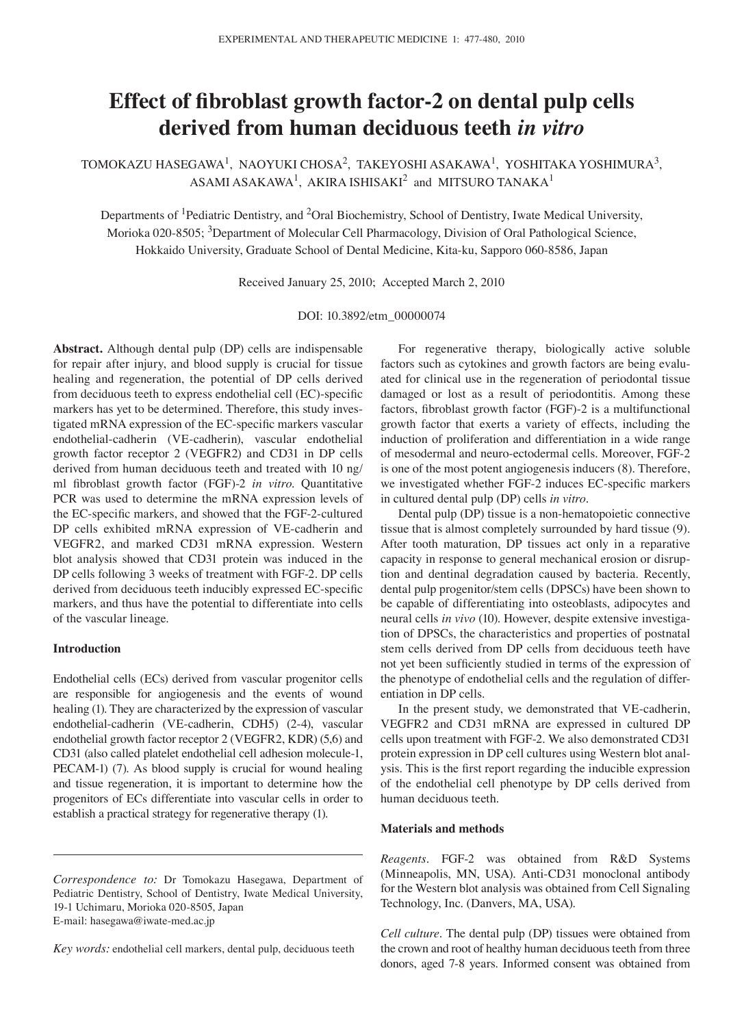# **Effect of fibroblast growth factor-2 on dental pulp cells derived from human deciduous teeth** *in vitro*

TOMOKAZU HASEGAWA<sup>1</sup>, NAOYUKI CHOSA<sup>2</sup>, TAKEYOSHI ASAKAWA<sup>1</sup>, YOSHITAKA YOSHIMURA<sup>3</sup>, ASAMI ASAKAWA<sup>1</sup>, AKIRA ISHISAKI $^2$  and MITSURO TANAKA<sup>1</sup>

Departments of 1Pediatric Dentistry, and 2Oral Biochemistry, School of Dentistry, Iwate Medical University, Morioka 020-8505; 3Department of Molecular Cell Pharmacology, Division of Oral Pathological Science, Hokkaido University, Graduate School of Dental Medicine, Kita-ku, Sapporo 060-8586, Japan

Received January 25, 2010; Accepted March 2, 2010

DOI: 10.3892/etm\_00000074

**Abstract.** Although dental pulp (DP) cells are indispensable for repair after injury, and blood supply is crucial for tissue healing and regeneration, the potential of DP cells derived from deciduous teeth to express endothelial cell (EC)-specific markers has yet to be determined. Therefore, this study investigated mRNA expression of the EC-specific markers vascular endothelial-cadherin (VE-cadherin), vascular endothelial growth factor receptor 2 (VEGFR2) and CD31 in DP cells derived from human deciduous teeth and treated with 10 ng/ ml fibroblast growth factor (FGF)-2 *in vitro*. Quantitative PCR was used to determine the mRNA expression levels of the EC-specific markers, and showed that the FGF-2-cultured DP cells exhibited mRNA expression of VE-cadherin and VEGFR2, and marked CD31 mRNA expression. Western blot analysis showed that CD31 protein was induced in the DP cells following 3 weeks of treatment with FGF-2. DP cells derived from deciduous teeth inducibly expressed EC-specific markers, and thus have the potential to differentiate into cells of the vascular lineage.

## **Introduction**

Endothelial cells (ECs) derived from vascular progenitor cells are responsible for angiogenesis and the events of wound healing (1). They are characterized by the expression of vascular endothelial-cadherin (VE-cadherin, CDH5) (2-4), vascular endothelial growth factor receptor 2 (VEGFR2, KDR) (5,6) and CD31 (also called platelet endothelial cell adhesion molecule-1, PECAM-1) (7). As blood supply is crucial for wound healing and tissue regeneration, it is important to determine how the progenitors of ECs differentiate into vascular cells in order to establish a practical strategy for regenerative therapy (1).

*Key words:* endothelial cell markers, dental pulp, deciduous teeth

For regenerative therapy, biologically active soluble factors such as cytokines and growth factors are being evaluated for clinical use in the regeneration of periodontal tissue damaged or lost as a result of periodontitis. Among these factors, fibroblast growth factor (FGF)-2 is a multifunctional growth factor that exerts a variety of effects, including the induction of proliferation and differentiation in a wide range of mesodermal and neuro-ectodermal cells. Moreover, FGF-2 is one of the most potent angiogenesis inducers (8). Therefore, we investigated whether FGF-2 induces EC-specific markers in cultured dental pulp (DP) cells *in vitro*.

Dental pulp (DP) tissue is a non-hematopoietic connective tissue that is almost completely surrounded by hard tissue (9). After tooth maturation, DP tissues act only in a reparative capacity in response to general mechanical erosion or disruption and dentinal degradation caused by bacteria. Recently, dental pulp progenitor/stem cells (DPSCs) have been shown to be capable of differentiating into osteoblasts, adipocytes and neural cells *in vivo* (10). However, despite extensive investigation of DPSCs, the characteristics and properties of postnatal stem cells derived from DP cells from deciduous teeth have not yet been sufficiently studied in terms of the expression of the phenotype of endothelial cells and the regulation of differentiation in DP cells.

In the present study, we demonstrated that VE-cadherin, VEGFR2 and CD31 mRNA are expressed in cultured DP cells upon treatment with FGF-2. We also demonstrated CD31 protein expression in DP cell cultures using western blot analysis. This is the first report regarding the inducible expression of the endothelial cell phenotype by DP cells derived from human deciduous teeth.

## **Materials and methods**

*Reagents.* FGF-2 was obtained from R&D Systems (Minneapolis, MN, USA). Anti-CD31 monoclonal antibody for the Western blot analysis was obtained from Cell Signaling Technology, Inc. (Danvers, MA, USA).

*Cell culture.* The dental pulp (DP) tissues were obtained from the crown and root of healthy human deciduous teeth from three donors, aged 7-8 years. Informed consent was obtained from

*Correspondence to:* Dr Tomokazu Hasegawa, Department of Pediatric Dentistry, School of Dentistry, Iwate Medical University, 19-1 Uchimaru, Morioka 020-8505, Japan E-mail: hasegawa@iwate-med.ac.jp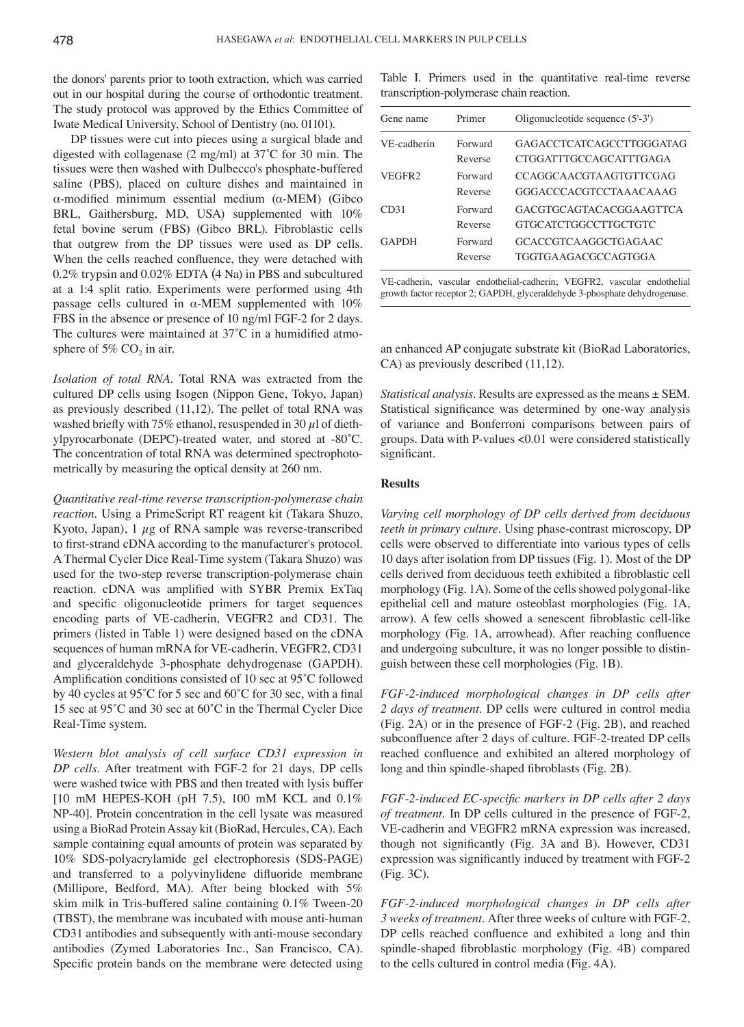the donors' parents prior to tooth extraction, which was carried out in our hospital during the course of orthodontic treatment. The study protocol was approved by the Ethics Committee of Iwate Medical University, School of Dentistry (no. 01101).

DP tissues were cut into pieces using a surgical blade and digested with collagenase (2 mg/ml) at 37˚C for 30 min. The tissues were then washed with Dulbecco's phosphate-buffered saline (PBS), placed on culture dishes and maintained in α-modified minimum essential medium (α-MEM) (Gibco BRL, Gaithersburg, MD, USA) supplemented with 10% fetal bovine serum (FBS) (Gibco BRL). Fibroblastic cells that outgrew from the DP tissues were used as DP cells. When the cells reached confluence, they were detached with 0.2% trypsin and 0.02% EDTA (4 Na) in PBS and subcultured at a 1:4 split ratio. Experiments were performed using 4th passage cells cultured in  $\alpha$ -MEM supplemented with 10% FBS in the absence or presence of 10 ng/ml FGF-2 for 2 days. The cultures were maintained at 37°C in a humidified atmosphere of 5%  $CO<sub>2</sub>$  in air.

*Isolation of total RNA.* Total RNA was extracted from the cultured DP cells using Isogen (Nippon Gene, Tokyo, Japan) as previously described (11,12). The pellet of total RNA was washed briefly with 75% ethanol, resuspended in 30  $\mu$ l of diethylpyrocarbonate (DEPC)-treated water, and stored at -80˚C. The concentration of total RNA was determined spectrophotometrically by measuring the optical density at 260 nm.

*Quantitative real-time reverse transcription-polymerase chain reaction.* Using a PrimeScript RT reagent kit (Takara Shuzo, Kyoto, Japan),  $1 \mu$ g of RNA sample was reverse-transcribed to first-strand cDNA according to the manufacturer's protocol. A Thermal Cycler Dice Real-Time system (Takara Shuzo) was used for the two-step reverse transcription-polymerase chain reaction. cDNA was amplified with SYBR Premix ExTaq and specific oligonucleotide primers for target sequences encoding parts of VE-cadherin, VEGFR2 and CD31. The primers (listed in Table 1) were designed based on the cDNA sequences of human mRNA for VE-cadherin, VEGFR2, CD31 and glyceraldehyde 3-phosphate dehydrogenase (GAPDH). Amplification conditions consisted of 10 sec at 95˚C followed by 40 cycles at 95˚C for 5 sec and 60˚C for 30 sec, with a final 15 sec at 95˚C and 30 sec at 60˚C in the Thermal Cycler Dice Real-Time system.

*Western blot analysis of cell surface CD31 expression in DP cells.* After treatment with FGF-2 for 21 days, DP cells were washed twice with PBS and then treated with lysis buffer [10 mM HEPES-KOH (pH 7.5), 100 mM KCL and 0.1% NP-40]. Protein concentration in the cell lysate was measured using a BioRad Protein Assay kit (BioRad, Hercules, CA). Each sample containing equal amounts of protein was separated by 10% SDS-polyacrylamide gel electrophoresis (SDS-PAGE) and transferred to a polyvinylidene difluoride membrane (Millipore, Bedford, MA). After being blocked with 5% skim milk in Tris-buffered saline containing 0.1% Tween-20 (TBST), the membrane was incubated with mouse anti-human CD31 antibodies and subsequently with anti-mouse secondary antibodies (Zymed Laboratories Inc., San Francisco, CA). Specific protein bands on the membrane were detected using

Table I. Primers used in the quantitative real-time reverse transcription-polymerase chain reaction.

| Gene name          | Primer             | Oligonucleotide sequence $(5'-3')$                     |
|--------------------|--------------------|--------------------------------------------------------|
| VE-cadherin        | Forward<br>Reverse | GAGACCTCATCAGCCTTGGGATAG<br>CTGGATTTGCCAGCATTTGAGA     |
| VEGFR <sub>2</sub> | Forward<br>Reverse | CCAGGCAACGTAAGTGTTCGAG<br>GGGACCCACGTCCTAAACAAAG       |
| CD31               | Forward<br>Reverse | GACGTGCAGTACACGGAAGTTCA<br><b>GTGCATCTGGCCTTGCTGTC</b> |
| <b>GAPDH</b>       | Forward<br>Reverse | GCACCGTCAAGGCTGAGAAC<br>TGGTGAAGACGCCAGTGGA            |

VE-cadherin, vascular endothelial-cadherin; VEGFR2, vascular endothelial growth factor receptor 2; GAPDH, glyceraldehyde 3-phosphate dehydrogenase.

an enhanced AP conjugate substrate kit (BioRad Laboratories, CA) as previously described (11,12).

*Statistical analysis.* Results are expressed as the means ± SEM. Statistical significance was determined by one-way analysis of variance and Bonferroni comparisons between pairs of groups. Data with P-values <0.01 were considered statistically significant.

# **Results**

*Varying cell morphology of DP cells derived from deciduous teeth in primary culture.* Using phase-contrast microscopy, DP cells were observed to differentiate into various types of cells 10 days after isolation from DP tissues (Fig. 1). Most of the DP cells derived from deciduous teeth exhibited a fibroblastic cell morphology (Fig. 1A). Some of the cells showed polygonal-like epithelial cell and mature osteoblast morphologies (Fig. 1A, arrow). A few cells showed a senescent fibroblastic cell-like morphology (Fig. 1A, arrowhead). After reaching confluence and undergoing subculture, it was no longer possible to distinguish between these cell morphologies (Fig. 1B).

*FGF-2-induced morphological changes in DP cells after 2 days of treatment.* DP cells were cultured in control media (Fig. 2A) or in the presence of FGF-2 (Fig. 2B), and reached subconfluence after 2 days of culture. FGF-2-treated DP cells reached confluence and exhibited an altered morphology of long and thin spindle-shaped fibroblasts (Fig. 2B).

*FGF-2-induced EC-specific markers in DP cells after 2 days of treatment.* In DP cells cultured in the presence of FGF-2, VE-cadherin and VEGFR2 mRNA expression was increased, though not significantly (Fig. 3A and B). However, CD31 expression was significantly induced by treatment with FGF-2 (Fig. 3C).

*FGF-2-induced morphological changes in DP cells after 3 weeks of treatment.* After three weeks of culture with FGF-2, DP cells reached confluence and exhibited a long and thin spindle-shaped fibroblastic morphology (Fig. 4B) compared to the cells cultured in control media (Fig. 4A).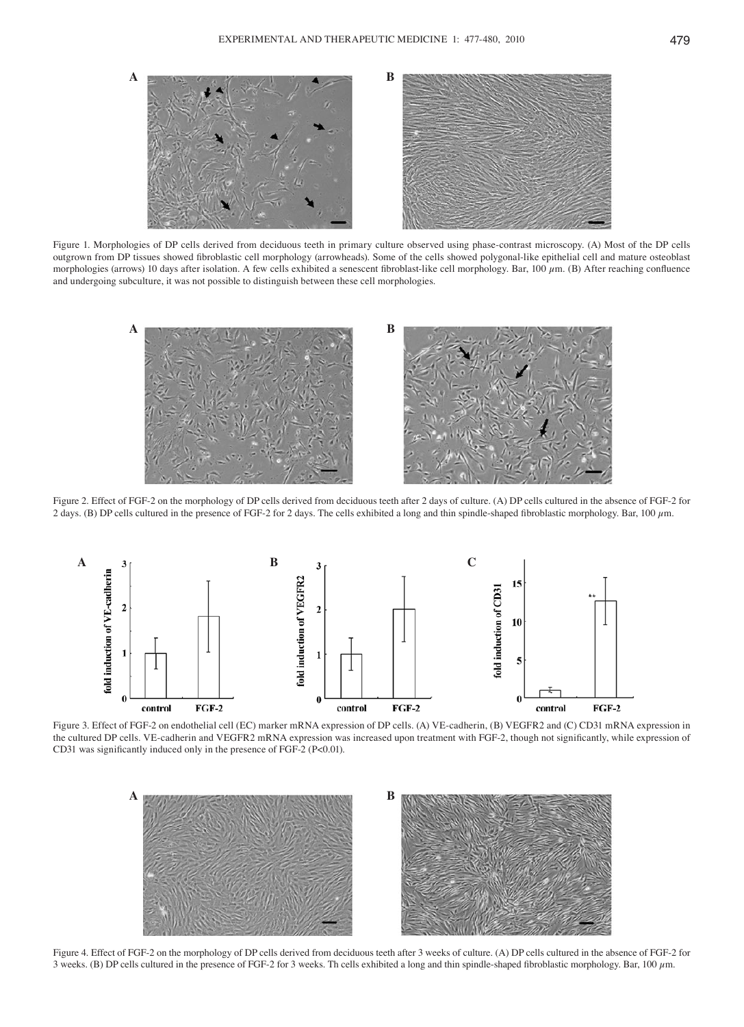

Figure 1. Morphologies of DP cells derived from deciduous teeth in primary culture observed using phase-contrast microscopy. (A) Most of the DP cells outgrown from DP tissues showed fibroblastic cell morphology (arrowheads). Some of the cells showed polygonal-like epithelial cell and mature osteoblast morphologies (arrows) 10 days after isolation. A few cells exhibited a senescent fibroblast-like cell morphology. Bar, 100  $\mu$ m. (B) After reaching confluence and undergoing subculture, it was not possible to distinguish between these cell morphologies.



Figure 2. Effect of FGF-2 on the morphology of DP cells derived from deciduous teeth after 2 days of culture. (A) DP cells cultured in the absence of FGF-2 for 2 days. (B) DP cells cultured in the presence of FGF-2 for 2 days. The cells exhibited a long and thin spindle-shaped fibroblastic morphology. Bar, 100 µm.



Figure 3. Effect of FGF-2 on endothelial cell (EC) marker mRNA expression of DP cells. (A) VE-cadherin, (B) VEGFR2 and (C) CD31 mRNA expression in the cultured DP cells. VE-cadherin and VEGFR2 mRNA expression was increased upon treatment with FGF-2, though not significantly, while expression of CD31 was significantly induced only in the presence of FGF-2 (P<0.01).



Figure 4. Effect of FGF-2 on the morphology of DP cells derived from deciduous teeth after 3 weeks of culture. (A) DP cells cultured in the absence of FGF-2 for 3 weeks. (B) DP cells cultured in the presence of FGF-2 for 3 weeks. Th cells exhibited a long and thin spindle-shaped fibroblastic morphology. Bar, 100 µm.